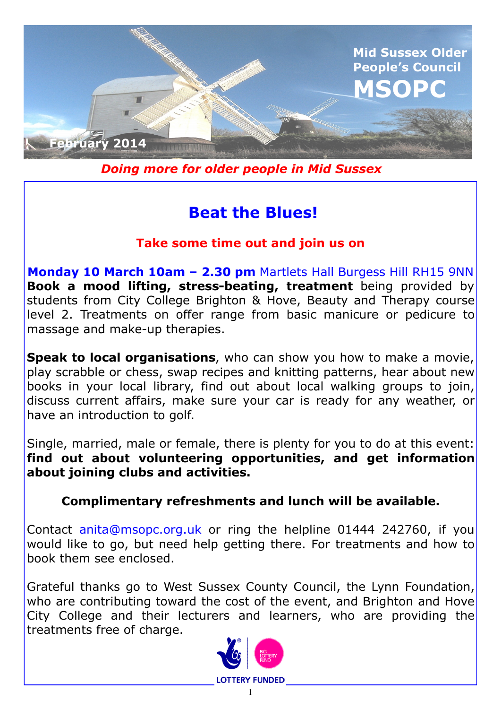

*Doing more for older people in Mid Sussex*

# **Beat the Blues!**

## **Take some time out and join us on**

**Monday 10 March 10am – 2.30 pm** Martlets Hall Burgess Hill RH15 9NN **Book a mood lifting, stress-beating, treatment** being provided by students from City College Brighton & Hove, Beauty and Therapy course level 2. Treatments on offer range from basic manicure or pedicure to massage and make-up therapies.

**Speak to local organisations**, who can show you how to make a movie, play scrabble or chess, swap recipes and knitting patterns, hear about new books in your local library, find out about local walking groups to join, discuss current affairs, make sure your car is ready for any weather, or have an introduction to golf.

Single, married, male or female, there is plenty for you to do at this event: **find out about volunteering opportunities, and get information about joining clubs and activities.**

**Complimentary refreshments and lunch will be available.**

Contact anita@msopc.org.uk or ring the helpline 01444 242760, if you would like to go, but need help getting there. For treatments and how to book them see enclosed.

Grateful thanks go to West Sussex County Council, the Lynn Foundation, who are contributing toward the cost of the event, and Brighton and Hove City College and their lecturers and learners, who are providing the treatments free of charge.

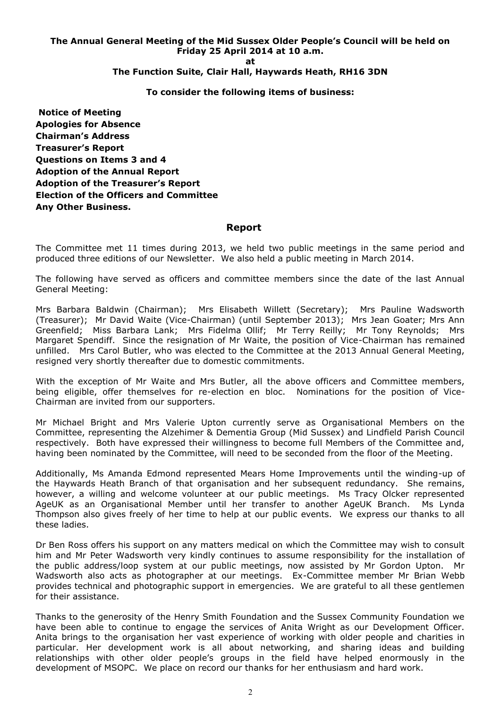### **The Annual General Meeting of the Mid Sussex Older People's Council will be held on Friday 25 April 2014 at 10 a.m. at**

### **The Function Suite, Clair Hall, Haywards Heath, RH16 3DN**

#### **To consider the following items of business:**

**Notice of Meeting Apologies for Absence Chairman's Address Treasurer's Report Questions on Items 3 and 4 Adoption of the Annual Report Adoption of the Treasurer's Report Election of the Officers and Committee Any Other Business.**

#### **Report**

The Committee met 11 times during 2013, we held two public meetings in the same period and produced three editions of our Newsletter. We also held a public meeting in March 2014.

The following have served as officers and committee members since the date of the last Annual General Meeting:

Mrs Barbara Baldwin (Chairman); Mrs Elisabeth Willett (Secretary); Mrs Pauline Wadsworth (Treasurer); Mr David Waite (Vice-Chairman) (until September 2013); Mrs Jean Goater; Mrs Ann Greenfield; Miss Barbara Lank; Mrs Fidelma Ollif; Mr Terry Reilly; Mr Tony Reynolds; Mrs Margaret Spendiff. Since the resignation of Mr Waite, the position of Vice-Chairman has remained unfilled. Mrs Carol Butler, who was elected to the Committee at the 2013 Annual General Meeting, resigned very shortly thereafter due to domestic commitments.

With the exception of Mr Waite and Mrs Butler, all the above officers and Committee members, being eligible, offer themselves for re-election en bloc. Nominations for the position of Vice-Chairman are invited from our supporters.

Mr Michael Bright and Mrs Valerie Upton currently serve as Organisational Members on the Committee, representing the Alzehimer & Dementia Group (Mid Sussex) and Lindfield Parish Council respectively. Both have expressed their willingness to become full Members of the Committee and, having been nominated by the Committee, will need to be seconded from the floor of the Meeting.

Additionally, Ms Amanda Edmond represented Mears Home Improvements until the winding-up of the Haywards Heath Branch of that organisation and her subsequent redundancy. She remains, however, a willing and welcome volunteer at our public meetings. Ms Tracy Olcker represented AgeUK as an Organisational Member until her transfer to another AgeUK Branch. Ms Lynda Thompson also gives freely of her time to help at our public events. We express our thanks to all these ladies.

Dr Ben Ross offers his support on any matters medical on which the Committee may wish to consult him and Mr Peter Wadsworth very kindly continues to assume responsibility for the installation of the public address/loop system at our public meetings, now assisted by Mr Gordon Upton. Mr Wadsworth also acts as photographer at our meetings. Ex-Committee member Mr Brian Webb provides technical and photographic support in emergencies. We are grateful to all these gentlemen for their assistance.

Thanks to the generosity of the Henry Smith Foundation and the Sussex Community Foundation we have been able to continue to engage the services of Anita Wright as our Development Officer. Anita brings to the organisation her vast experience of working with older people and charities in particular. Her development work is all about networking, and sharing ideas and building relationships with other older people's groups in the field have helped enormously in the development of MSOPC. We place on record our thanks for her enthusiasm and hard work.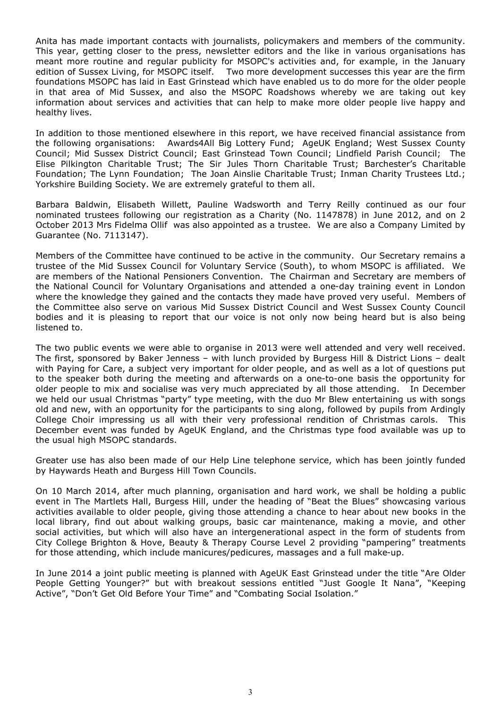Anita has made important contacts with journalists, policymakers and members of the community. This year, getting closer to the press, newsletter editors and the like in various organisations has meant more routine and regular publicity for MSOPC's activities and, for example, in the January edition of Sussex Living, for MSOPC itself. Two more development successes this year are the firm foundations MSOPC has laid in East Grinstead which have enabled us to do more for the older people in that area of Mid Sussex, and also the MSOPC Roadshows whereby we are taking out key information about services and activities that can help to make more older people live happy and healthy lives.

In addition to those mentioned elsewhere in this report, we have received financial assistance from the following organisations: Awards4All Big Lottery Fund; AgeUK England; West Sussex County Council; Mid Sussex District Council; East Grinstead Town Council; Lindfield Parish Council; The Elise Pilkington Charitable Trust; The Sir Jules Thorn Charitable Trust; Barchester's Charitable Foundation; The Lynn Foundation; The Joan Ainslie Charitable Trust; Inman Charity Trustees Ltd.; Yorkshire Building Society. We are extremely grateful to them all.

Barbara Baldwin, Elisabeth Willett, Pauline Wadsworth and Terry Reilly continued as our four nominated trustees following our registration as a Charity (No. 1147878) in June 2012, and on 2 October 2013 Mrs Fidelma Ollif was also appointed as a trustee. We are also a Company Limited by Guarantee (No. 7113147).

Members of the Committee have continued to be active in the community. Our Secretary remains a trustee of the Mid Sussex Council for Voluntary Service (South), to whom MSOPC is affiliated. We are members of the National Pensioners Convention. The Chairman and Secretary are members of the National Council for Voluntary Organisations and attended a one-day training event in London where the knowledge they gained and the contacts they made have proved very useful. Members of the Committee also serve on various Mid Sussex District Council and West Sussex County Council bodies and it is pleasing to report that our voice is not only now being heard but is also being listened to.

The two public events we were able to organise in 2013 were well attended and very well received. The first, sponsored by Baker Jenness – with lunch provided by Burgess Hill & District Lions – dealt with Paying for Care, a subject very important for older people, and as well as a lot of questions put to the speaker both during the meeting and afterwards on a one-to-one basis the opportunity for older people to mix and socialise was very much appreciated by all those attending. In December we held our usual Christmas "party" type meeting, with the duo Mr Blew entertaining us with songs old and new, with an opportunity for the participants to sing along, followed by pupils from Ardingly College Choir impressing us all with their very professional rendition of Christmas carols. This December event was funded by AgeUK England, and the Christmas type food available was up to the usual high MSOPC standards.

Greater use has also been made of our Help Line telephone service, which has been jointly funded by Haywards Heath and Burgess Hill Town Councils.

On 10 March 2014, after much planning, organisation and hard work, we shall be holding a public event in The Martlets Hall, Burgess Hill, under the heading of "Beat the Blues" showcasing various activities available to older people, giving those attending a chance to hear about new books in the local library, find out about walking groups, basic car maintenance, making a movie, and other social activities, but which will also have an intergenerational aspect in the form of students from City College Brighton & Hove, Beauty & Therapy Course Level 2 providing "pampering" treatments for those attending, which include manicures/pedicures, massages and a full make-up.

In June 2014 a joint public meeting is planned with AgeUK East Grinstead under the title "Are Older People Getting Younger?" but with breakout sessions entitled "Just Google It Nana", "Keeping Active", "Don't Get Old Before Your Time" and "Combating Social Isolation."